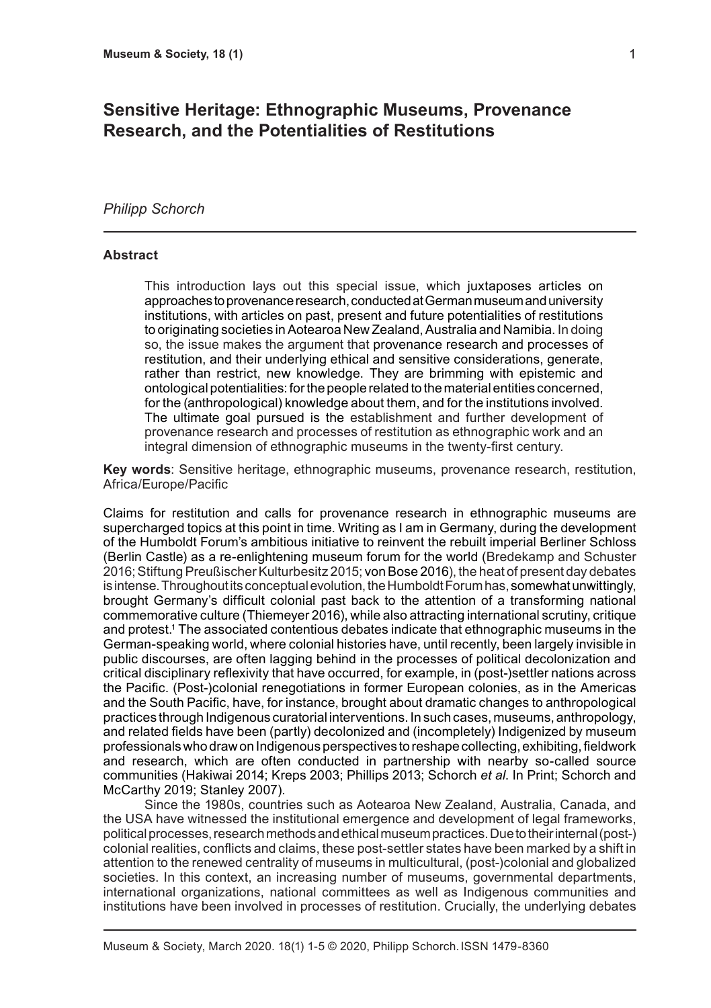# **Sensitive Heritage: Ethnographic Museums, Provenance Research, and the Potentialities of Restitutions**

### *Philipp Schorch*

#### **Abstract**

This introduction lays out this special issue, which juxtaposes articles on approaches to provenance research, conducted at German museum and university institutions, with articles on past, present and future potentialities of restitutions to originating societies in Aotearoa New Zealand, Australia and Namibia. In doing so, the issue makes the argument that provenance research and processes of restitution, and their underlying ethical and sensitive considerations, generate, rather than restrict, new knowledge. They are brimming with epistemic and ontological potentialities: for the people related to the material entities concerned, for the (anthropological) knowledge about them, and for the institutions involved. The ultimate goal pursued is the establishment and further development of provenance research and processes of restitution as ethnographic work and an integral dimension of ethnographic museums in the twenty-first century.

**Key words**: Sensitive heritage, ethnographic museums, provenance research, restitution, Africa/Europe/Pacific

Claims for restitution and calls for provenance research in ethnographic museums are supercharged topics at this point in time. Writing as I am in Germany, during the development of the Humboldt Forum's ambitious initiative to reinvent the rebuilt imperial Berliner Schloss (Berlin Castle) as a re-enlightening museum forum for the world (Bredekamp and Schuster 2016; Stiftung Preußischer Kulturbesitz 2015; von Bose 2016), the heat of present day debates is intense. Throughout its conceptual evolution, the Humboldt Forum has, somewhat unwittingly, brought Germany's difficult colonial past back to the attention of a transforming national commemorative culture (Thiemeyer 2016), while also attracting international scrutiny, critique and protest.1 The associated contentious debates indicate that ethnographic museums in the German-speaking world, where colonial histories have, until recently, been largely invisible in public discourses, are often lagging behind in the processes of political decolonization and critical disciplinary reflexivity that have occurred, for example, in (post-)settler nations across the Pacific. (Post-)colonial renegotiations in former European colonies, as in the Americas and the South Pacific, have, for instance, brought about dramatic changes to anthropological practices through Indigenous curatorial interventions. In such cases, museums, anthropology, and related fields have been (partly) decolonized and (incompletely) Indigenized by museum professionals who draw on Indigenous perspectives to reshape collecting, exhibiting, fieldwork and research, which are often conducted in partnership with nearby so-called source communities (Hakiwai 2014; Kreps 2003; Phillips 2013; Schorch *et al*. In Print; Schorch and McCarthy 2019; Stanley 2007).

Since the 1980s, countries such as Aotearoa New Zealand, Australia, Canada, and the USA have witnessed the institutional emergence and development of legal frameworks, political processes, research methods and ethical museum practices. Due to their internal (post-) colonial realities, conflicts and claims, these post-settler states have been marked by a shift in attention to the renewed centrality of museums in multicultural, (post-)colonial and globalized societies. In this context, an increasing number of museums, governmental departments, international organizations, national committees as well as Indigenous communities and institutions have been involved in processes of restitution. Crucially, the underlying debates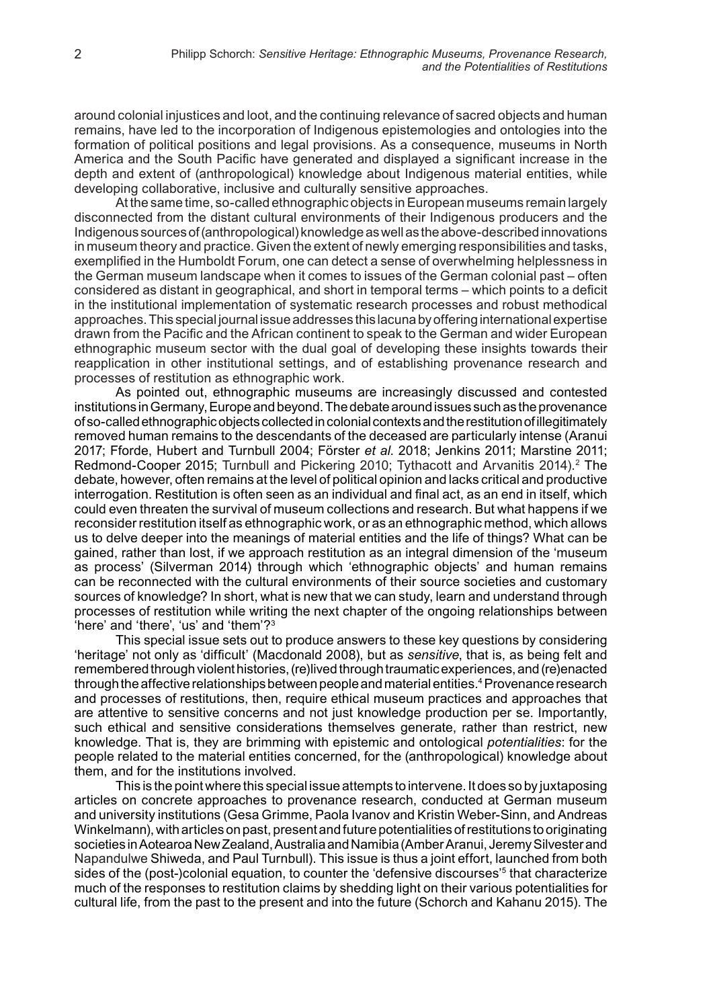around colonial injustices and loot, and the continuing relevance of sacred objects and human remains, have led to the incorporation of Indigenous epistemologies and ontologies into the formation of political positions and legal provisions. As a consequence, museums in North America and the South Pacific have generated and displayed a significant increase in the depth and extent of (anthropological) knowledge about Indigenous material entities, while developing collaborative, inclusive and culturally sensitive approaches.

At the same time, so-called ethnographic objects in European museums remain largely disconnected from the distant cultural environments of their Indigenous producers and the Indigenous sources of (anthropological) knowledge as well as the above-described innovations in museum theory and practice. Given the extent of newly emerging responsibilities and tasks, exemplified in the Humboldt Forum, one can detect a sense of overwhelming helplessness in the German museum landscape when it comes to issues of the German colonial past – often considered as distant in geographical, and short in temporal terms – which points to a deficit in the institutional implementation of systematic research processes and robust methodical approaches. This special journal issue addresses this lacuna by offering international expertise drawn from the Pacific and the African continent to speak to the German and wider European ethnographic museum sector with the dual goal of developing these insights towards their reapplication in other institutional settings, and of establishing provenance research and processes of restitution as ethnographic work.

As pointed out, ethnographic museums are increasingly discussed and contested institutions in Germany, Europe and beyond. The debate around issues such as the provenance of so-called ethnographic objects collected in colonial contexts and the restitution of illegitimately removed human remains to the descendants of the deceased are particularly intense (Aranui 2017; Fforde, Hubert and Turnbull 2004; Förster *et al*. 2018; Jenkins 2011; Marstine 2011; Redmond-Cooper 2015; Turnbull and Pickering 2010; Tythacott and Arvanitis 2014).<sup>2</sup> The debate, however, often remains at the level of political opinion and lacks critical and productive interrogation. Restitution is often seen as an individual and final act, as an end in itself, which could even threaten the survival of museum collections and research. But what happens if we reconsider restitution itself as ethnographic work, or as an ethnographic method, which allows us to delve deeper into the meanings of material entities and the life of things? What can be gained, rather than lost, if we approach restitution as an integral dimension of the 'museum as process' (Silverman 2014) through which 'ethnographic objects' and human remains can be reconnected with the cultural environments of their source societies and customary sources of knowledge? In short, what is new that we can study, learn and understand through processes of restitution while writing the next chapter of the ongoing relationships between 'here' and 'there', 'us' and 'them'?3

This special issue sets out to produce answers to these key questions by considering 'heritage' not only as 'difficult' (Macdonald 2008), but as *sensitive*, that is, as being felt and remembered through violent histories, (re)lived through traumatic experiences, and (re)enacted through the affective relationships between people and material entities.4 Provenance research and processes of restitutions, then, require ethical museum practices and approaches that are attentive to sensitive concerns and not just knowledge production per se. Importantly, such ethical and sensitive considerations themselves generate, rather than restrict, new knowledge. That is, they are brimming with epistemic and ontological *potentialities*: for the people related to the material entities concerned, for the (anthropological) knowledge about them, and for the institutions involved.

This is the point where this special issue attempts to intervene. It does so by juxtaposing articles on concrete approaches to provenance research, conducted at German museum and university institutions (Gesa Grimme, Paola Ivanov and Kristin Weber-Sinn, and Andreas Winkelmann), with articles on past, present and future potentialities of restitutions to originating societies in Aotearoa New Zealand, Australia and Namibia (Amber Aranui, Jeremy Silvester and Napandulwe Shiweda, and Paul Turnbull). This issue is thus a joint effort, launched from both sides of the (post-)colonial equation, to counter the 'defensive discourses'<sup>5</sup> that characterize much of the responses to restitution claims by shedding light on their various potentialities for cultural life, from the past to the present and into the future (Schorch and Kahanu 2015). The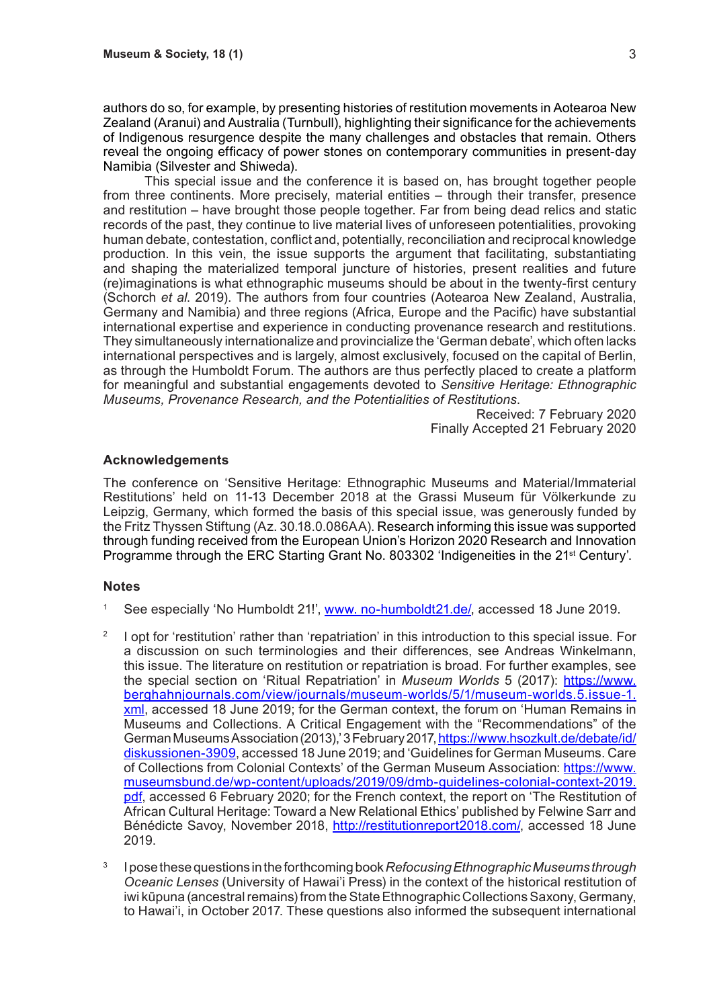authors do so, for example, by presenting histories of restitution movements in Aotearoa New Zealand (Aranui) and Australia (Turnbull), highlighting their significance for the achievements of Indigenous resurgence despite the many challenges and obstacles that remain. Others reveal the ongoing efficacy of power stones on contemporary communities in present-day Namibia (Silvester and Shiweda).

This special issue and the conference it is based on, has brought together people from three continents. More precisely, material entities – through their transfer, presence and restitution – have brought those people together. Far from being dead relics and static records of the past, they continue to live material lives of unforeseen potentialities, provoking human debate, contestation, conflict and, potentially, reconciliation and reciprocal knowledge production. In this vein, the issue supports the argument that facilitating, substantiating and shaping the materialized temporal juncture of histories, present realities and future (re)imaginations is what ethnographic museums should be about in the twenty-first century (Schorch *et al*. 2019). The authors from four countries (Aotearoa New Zealand, Australia, Germany and Namibia) and three regions (Africa, Europe and the Pacific) have substantial international expertise and experience in conducting provenance research and restitutions. They simultaneously internationalize and provincialize the 'German debate', which often lacks international perspectives and is largely, almost exclusively, focused on the capital of Berlin, as through the Humboldt Forum. The authors are thus perfectly placed to create a platform for meaningful and substantial engagements devoted to *Sensitive Heritage: Ethnographic Museums, Provenance Research, and the Potentialities of Restitutions*.

> Received: 7 February 2020 Finally Accepted 21 February 2020

### **Acknowledgements**

The conference on 'Sensitive Heritage: Ethnographic Museums and Material/Immaterial Restitutions' held on 11-13 December 2018 at the Grassi Museum für Völkerkunde zu Leipzig, Germany, which formed the basis of this special issue, was generously funded by the Fritz Thyssen Stiftung (Az. 30.18.0.086AA). Research informing this issue was supported through funding received from the European Union's Horizon 2020 Research and Innovation Programme through the ERC Starting Grant No. 803302 'Indigeneities in the 21<sup>st</sup> Century'.

#### **Notes**

- <sup>1</sup> See especially 'No Humboldt 21!', www. no-humboldt21.de/, accessed 18 June 2019.
- <sup>2</sup> I opt for 'restitution' rather than 'repatriation' in this introduction to this special issue. For a discussion on such terminologies and their differences, see Andreas Winkelmann, this issue. The literature on restitution or repatriation is broad. For further examples, see the special section on 'Ritual Repatriation' in *Museum Worlds* 5 (2017): https://www. berghahnjournals.com/view/journals/museum-worlds/5/1/museum-worlds.5.issue-1. xml, accessed 18 June 2019; for the German context, the forum on 'Human Remains in Museums and Collections. A Critical Engagement with the "Recommendations" of the German Museums Association (2013),' 3 February 2017, https://www.hsozkult.de/debate/id/ diskussionen-3909, accessed 18 June 2019; and 'Guidelines for German Museums. Care of Collections from Colonial Contexts' of the German Museum Association: https://www. museumsbund.de/wp-content/uploads/2019/09/dmb-guidelines-colonial-context-2019. pdf, accessed 6 February 2020; for the French context, the report on 'The Restitution of African Cultural Heritage: Toward a New Relational Ethics' published by Felwine Sarr and Bénédicte Savoy, November 2018, http://restitutionreport2018.com/, accessed 18 June 2019.
- <sup>3</sup> I pose these questions in the forthcoming book *Refocusing Ethnographic Museums through Oceanic Lenses* (University of Hawai'i Press) in the context of the historical restitution of iwi kūpuna (ancestral remains) from the State Ethnographic Collections Saxony, Germany, to Hawai'i, in October 2017. These questions also informed the subsequent international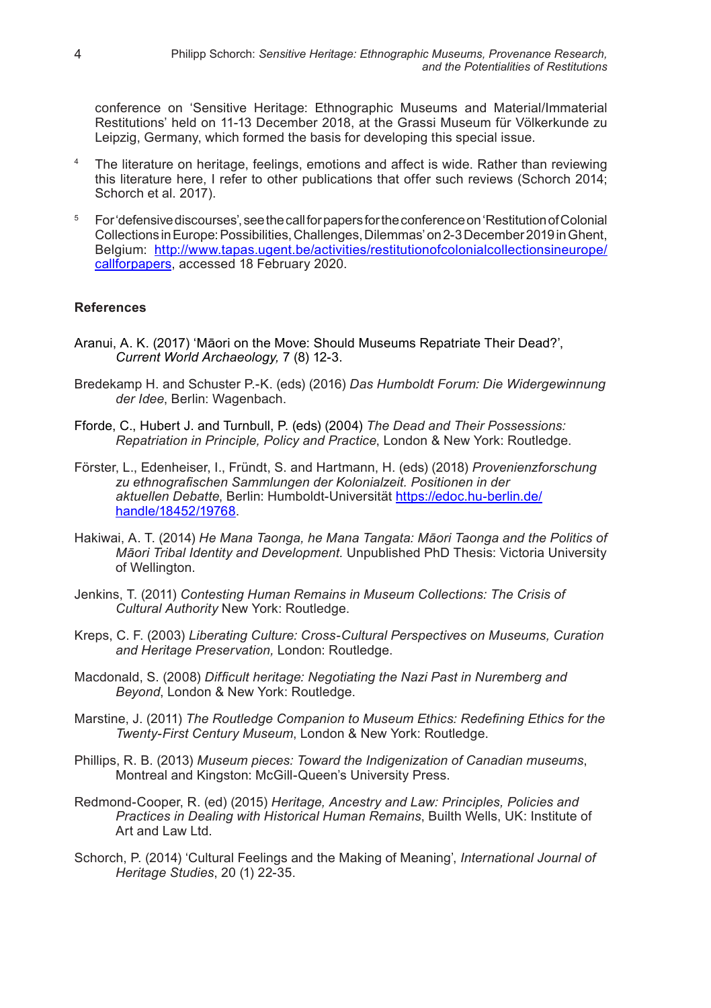conference on 'Sensitive Heritage: Ethnographic Museums and Material/Immaterial Restitutions' held on 11-13 December 2018, at the Grassi Museum für Völkerkunde zu Leipzig, Germany, which formed the basis for developing this special issue.

- <sup>4</sup> The literature on heritage, feelings, emotions and affect is wide. Rather than reviewing this literature here, I refer to other publications that offer such reviews (Schorch 2014; Schorch et al. 2017).
- <sup>5</sup> For 'defensive discourses', see the call for papers for the conference on 'Restitution of Colonial Collections in Europe: Possibilities, Challenges, Dilemmas' on 2-3 December 2019 in Ghent, Belgium: http://www.tapas.ugent.be/activities/restitutionofcolonialcollectionsineurope/ callforpapers, accessed 18 February 2020.

## **References**

- Aranui, A. K. (2017) 'Māori on the Move: Should Museums Repatriate Their Dead?', *Current World Archaeology,* 7 (8) 12-3.
- Bredekamp H. and Schuster P.-K. (eds) (2016) *Das Humboldt Forum: Die Widergewinnung der Idee*, Berlin: Wagenbach.
- Fforde, C., Hubert J. and Turnbull, P. (eds) (2004) *The Dead and Their Possessions: Repatriation in Principle, Policy and Practice*, London & New York: Routledge.
- Förster, L., Edenheiser, I., Fründt, S. and Hartmann, H. (eds) (2018) *Provenienzforschung zu ethnografischen Sammlungen der Kolonialzeit. Positionen in der aktuellen Debatte*, Berlin: Humboldt-Universität https://edoc.hu-berlin.de/ handle/18452/19768.
- Hakiwai, A. T. (2014) *He Mana Taonga, he Mana Tangata: Māori Taonga and the Politics of Māori Tribal Identity and Development.* Unpublished PhD Thesis: Victoria University of Wellington.
- Jenkins, T. (2011) *Contesting Human Remains in Museum Collections: The Crisis of Cultural Authority* New York: Routledge.
- Kreps, C. F. (2003) *Liberating Culture: Cross-Cultural Perspectives on Museums, Curation and Heritage Preservation,* London: Routledge.
- Macdonald, S. (2008) *Difficult heritage: Negotiating the Nazi Past in Nuremberg and Beyond*, London & New York: Routledge.
- Marstine, J. (2011) *The Routledge Companion to Museum Ethics: Redefining Ethics for the Twenty-First Century Museum*, London & New York: Routledge.
- Phillips, R. B. (2013) *Museum pieces: Toward the Indigenization of Canadian museums*, Montreal and Kingston: McGill-Queen's University Press.
- Redmond-Cooper, R. (ed) (2015) *Heritage, Ancestry and Law: Principles, Policies and Practices in Dealing with Historical Human Remains*, Builth Wells, UK: Institute of Art and Law Ltd.
- Schorch, P. (2014) 'Cultural Feelings and the Making of Meaning', *International Journal of Heritage Studies*, 20 (1) 22-35.